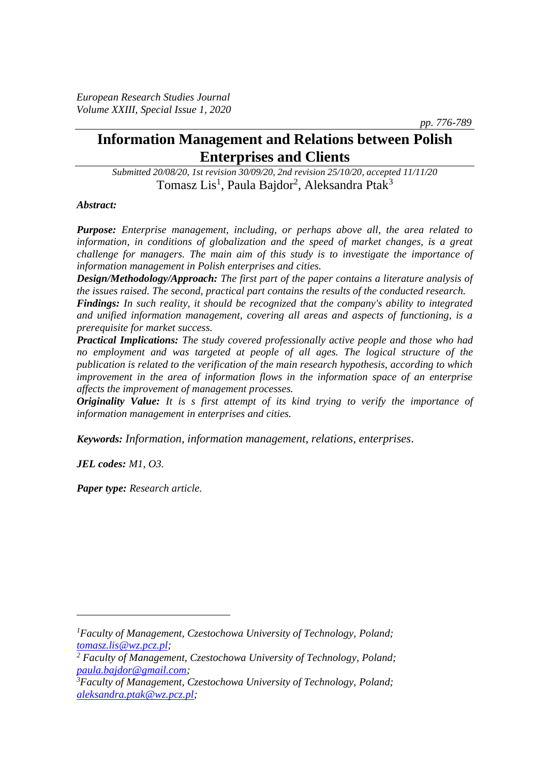*pp. 776-789*

# **Information Management and Relations between Polish Enterprises and Clients**

*Submitted 20/08/20, 1st revision 30/09/20, 2nd revision 25/10/20, accepted 11/11/20* Tomasz Lis<sup>1</sup>, Paula Bajdor<sup>2</sup>, Aleksandra Ptak<sup>3</sup>

#### *Abstract:*

*Purpose: Enterprise management, including, or perhaps above all, the area related to information, in conditions of globalization and the speed of market changes, is a great challenge for managers. The main aim of this study is to investigate the importance of information management in Polish enterprises and cities.*

*Design/Methodology/Approach: The first part of the paper contains a literature analysis of the issues raised. The second, practical part contains the results of the conducted research.*

*Findings: In such reality, it should be recognized that the company's ability to integrated and unified information management, covering all areas and aspects of functioning, is a prerequisite for market success.*

*Practical Implications: The study covered professionally active people and those who had no employment and was targeted at people of all ages. The logical structure of the publication is related to the verification of the main research hypothesis, according to which improvement in the area of information flows in the information space of an enterprise affects the improvement of management processes.*

*Originality Value: It is s first attempt of its kind trying to verify the importance of information management in enterprises and cities.*

*Keywords: Information, information management, relations, enterprises.*

*JEL codes: M1, O3.*

*Paper type: Research article.*

*<sup>1</sup>Faculty of Management, Czestochowa University of Technology, Poland; [tomasz.lis@wz.pcz.pl;](mailto:tomasz.lis@wz.pcz.pl)* 

*<sup>2</sup> Faculty of Management, Czestochowa University of Technology, Poland; [paula.bajdor@gmail.com;](mailto:paula.bajdor@gmail.com)* 

*<sup>3</sup>Faculty of Management, Czestochowa University of Technology, Poland; [aleksandra.ptak@wz.pcz.pl;](mailto:aleksandra.ptak@wz.pcz.pl)*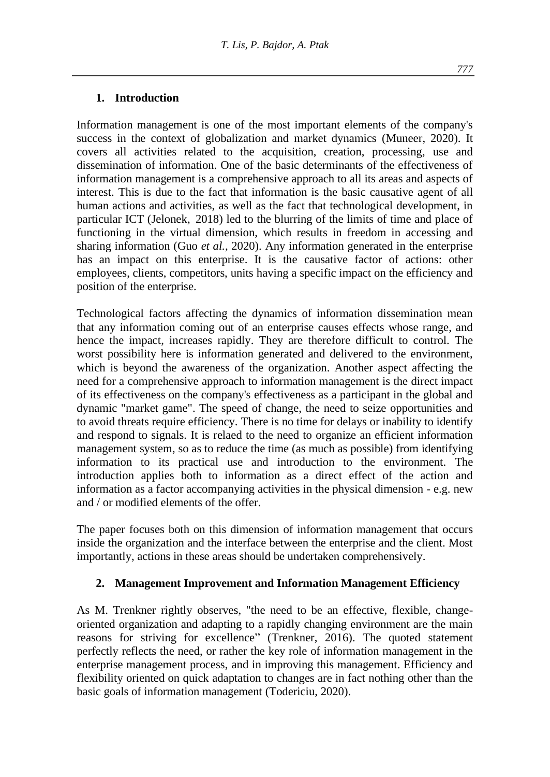# **1. Introduction**

Information management is one of the most important elements of the company's success in the context of globalization and market dynamics (Muneer, 2020). It covers all activities related to the acquisition, creation, processing, use and dissemination of information. One of the basic determinants of the effectiveness of information management is a comprehensive approach to all its areas and aspects of interest. This is due to the fact that information is the basic causative agent of all human actions and activities, as well as the fact that technological development, in particular ICT (Jelonek, 2018) led to the blurring of the limits of time and place of functioning in the virtual dimension, which results in freedom in accessing and sharing information (Guo *et al.,* 2020). Any information generated in the enterprise has an impact on this enterprise. It is the causative factor of actions: other employees, clients, competitors, units having a specific impact on the efficiency and position of the enterprise.

Technological factors affecting the dynamics of information dissemination mean that any information coming out of an enterprise causes effects whose range, and hence the impact, increases rapidly. They are therefore difficult to control. The worst possibility here is information generated and delivered to the environment, which is beyond the awareness of the organization. Another aspect affecting the need for a comprehensive approach to information management is the direct impact of its effectiveness on the company's effectiveness as a participant in the global and dynamic "market game". The speed of change, the need to seize opportunities and to avoid threats require efficiency. There is no time for delays or inability to identify and respond to signals. It is relaed to the need to organize an efficient information management system, so as to reduce the time (as much as possible) from identifying information to its practical use and introduction to the environment. The introduction applies both to information as a direct effect of the action and information as a factor accompanying activities in the physical dimension - e.g. new and / or modified elements of the offer.

The paper focuses both on this dimension of information management that occurs inside the organization and the interface between the enterprise and the client. Most importantly, actions in these areas should be undertaken comprehensively.

#### **2. Management Improvement and Information Management Efficiency**

As M. Trenkner rightly observes, "the need to be an effective, flexible, changeoriented organization and adapting to a rapidly changing environment are the main reasons for striving for excellence" (Trenkner, 2016). The quoted statement perfectly reflects the need, or rather the key role of information management in the enterprise management process, and in improving this management. Efficiency and flexibility oriented on quick adaptation to changes are in fact nothing other than the basic goals of information management (Todericiu, 2020).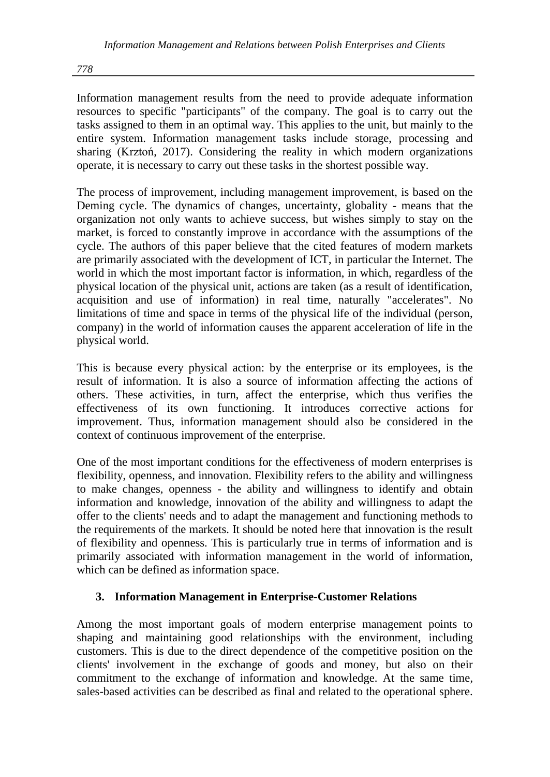Information management results from the need to provide adequate information resources to specific "participants" of the company. The goal is to carry out the tasks assigned to them in an optimal way. This applies to the unit, but mainly to the entire system. Information management tasks include storage, processing and sharing (Krztoń, 2017). Considering the reality in which modern organizations operate, it is necessary to carry out these tasks in the shortest possible way.

The process of improvement, including management improvement, is based on the Deming cycle. The dynamics of changes, uncertainty, globality - means that the organization not only wants to achieve success, but wishes simply to stay on the market, is forced to constantly improve in accordance with the assumptions of the cycle. The authors of this paper believe that the cited features of modern markets are primarily associated with the development of ICT, in particular the Internet. The world in which the most important factor is information, in which, regardless of the physical location of the physical unit, actions are taken (as a result of identification, acquisition and use of information) in real time, naturally "accelerates". No limitations of time and space in terms of the physical life of the individual (person, company) in the world of information causes the apparent acceleration of life in the physical world.

This is because every physical action: by the enterprise or its employees, is the result of information. It is also a source of information affecting the actions of others. These activities, in turn, affect the enterprise, which thus verifies the effectiveness of its own functioning. It introduces corrective actions for improvement. Thus, information management should also be considered in the context of continuous improvement of the enterprise.

One of the most important conditions for the effectiveness of modern enterprises is flexibility, openness, and innovation. Flexibility refers to the ability and willingness to make changes, openness - the ability and willingness to identify and obtain information and knowledge, innovation of the ability and willingness to adapt the offer to the clients' needs and to adapt the management and functioning methods to the requirements of the markets. It should be noted here that innovation is the result of flexibility and openness. This is particularly true in terms of information and is primarily associated with information management in the world of information, which can be defined as information space.

# **3. Information Management in Enterprise-Customer Relations**

Among the most important goals of modern enterprise management points to shaping and maintaining good relationships with the environment, including customers. This is due to the direct dependence of the competitive position on the clients' involvement in the exchange of goods and money, but also on their commitment to the exchange of information and knowledge. At the same time, sales-based activities can be described as final and related to the operational sphere.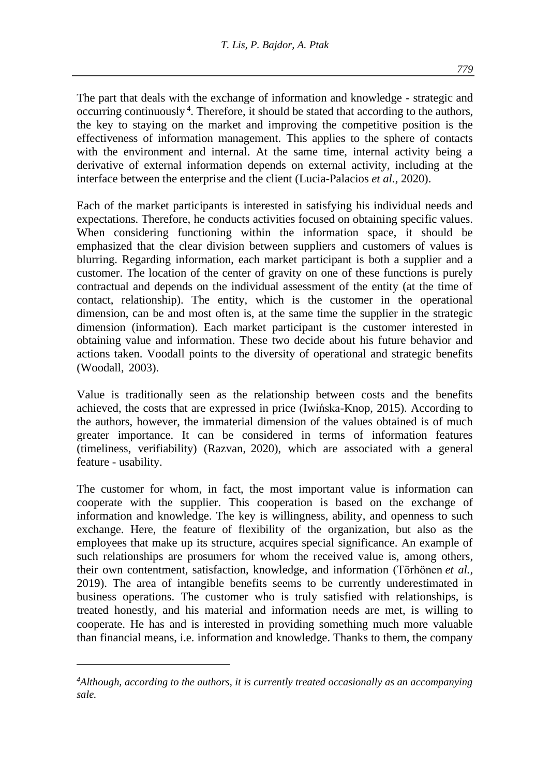The part that deals with the exchange of information and knowledge - strategic and occurring continuously<sup>4</sup>. Therefore, it should be stated that according to the authors, the key to staying on the market and improving the competitive position is the effectiveness of information management. This applies to the sphere of contacts with the environment and internal. At the same time, internal activity being a derivative of external information depends on external activity, including at the interface between the enterprise and the client (Lucia-Palacios *et al.,* 2020).

Each of the market participants is interested in satisfying his individual needs and expectations. Therefore, he conducts activities focused on obtaining specific values. When considering functioning within the information space, it should be emphasized that the clear division between suppliers and customers of values is blurring. Regarding information, each market participant is both a supplier and a customer. The location of the center of gravity on one of these functions is purely contractual and depends on the individual assessment of the entity (at the time of contact, relationship). The entity, which is the customer in the operational dimension, can be and most often is, at the same time the supplier in the strategic dimension (information). Each market participant is the customer interested in obtaining value and information. These two decide about his future behavior and actions taken. Voodall points to the diversity of operational and strategic benefits (Woodall, 2003).

Value is traditionally seen as the relationship between costs and the benefits achieved, the costs that are expressed in price (Iwińska-Knop, 2015). According to the authors, however, the immaterial dimension of the values obtained is of much greater importance. It can be considered in terms of information features (timeliness, verifiability) (Razvan, 2020), which are associated with a general feature - usability.

The customer for whom, in fact, the most important value is information can cooperate with the supplier. This cooperation is based on the exchange of information and knowledge. The key is willingness, ability, and openness to such exchange. Here, the feature of flexibility of the organization, but also as the employees that make up its structure, acquires special significance. An example of such relationships are prosumers for whom the received value is, among others, their own contentment, satisfaction, knowledge, and information (Törhönen *et al.,* 2019). The area of intangible benefits seems to be currently underestimated in business operations. The customer who is truly satisfied with relationships, is treated honestly, and his material and information needs are met, is willing to cooperate. He has and is interested in providing something much more valuable than financial means, i.e. information and knowledge. Thanks to them, the company

*<sup>4</sup>Although, according to the authors, it is currently treated occasionally as an accompanying sale.*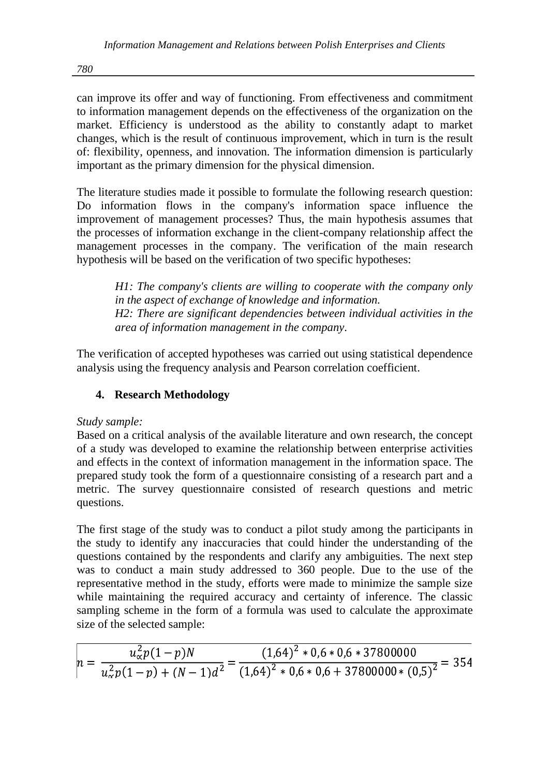can improve its offer and way of functioning. From effectiveness and commitment to information management depends on the effectiveness of the organization on the market. Efficiency is understood as the ability to constantly adapt to market changes, which is the result of continuous improvement, which in turn is the result of: flexibility, openness, and innovation. The information dimension is particularly important as the primary dimension for the physical dimension.

The literature studies made it possible to formulate the following research question: Do information flows in the company's information space influence the improvement of management processes? Thus, the main hypothesis assumes that the processes of information exchange in the client-company relationship affect the management processes in the company. The verification of the main research hypothesis will be based on the verification of two specific hypotheses:

*H1: The company's clients are willing to cooperate with the company only in the aspect of exchange of knowledge and information. H2: There are significant dependencies between individual activities in the area of information management in the company.* 

The verification of accepted hypotheses was carried out using statistical dependence analysis using the frequency analysis and Pearson correlation coefficient.

# **4. Research Methodology**

*Study sample:*

Based on a critical analysis of the available literature and own research, the concept of a study was developed to examine the relationship between enterprise activities and effects in the context of information management in the information space. The prepared study took the form of a questionnaire consisting of a research part and a metric. The survey questionnaire consisted of research questions and metric questions.

The first stage of the study was to conduct a pilot study among the participants in the study to identify any inaccuracies that could hinder the understanding of the questions contained by the respondents and clarify any ambiguities. The next step was to conduct a main study addressed to 360 people. Due to the use of the representative method in the study, efforts were made to minimize the sample size while maintaining the required accuracy and certainty of inference. The classic sampling scheme in the form of a formula was used to calculate the approximate size of the selected sample:

|  | $u_{\alpha}^2 p(1-p)N$ | $(1,64)^2 * 0,6 * 0,6 * 37800000$                                                                          |  |  |  |  |
|--|------------------------|------------------------------------------------------------------------------------------------------------|--|--|--|--|
|  |                        | $u - \frac{1}{u_{\alpha}^2 p(1-p) + (N-1)d^2} = \frac{1}{(1.64)^2 + 0.6 * 0.6 + 37800000 * (0.5)^2} = 354$ |  |  |  |  |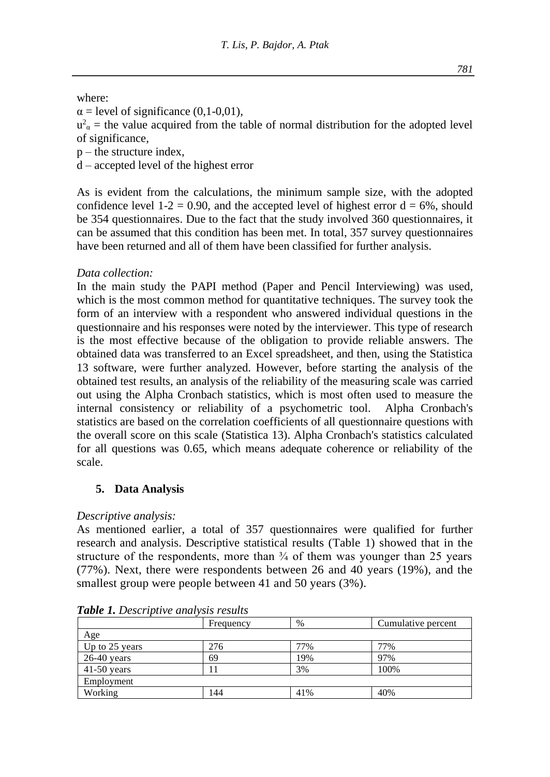where:

 $\alpha$  = level of significance (0,1-0,01),

 $u^2$ <sub>α</sub> = the value acquired from the table of normal distribution for the adopted level of significance,

 $p$  – the structure index,

d – accepted level of the highest error

As is evident from the calculations, the minimum sample size, with the adopted confidence level 1-2 = 0.90, and the accepted level of highest error  $d = 6\%$ , should be 354 questionnaires. Due to the fact that the study involved 360 questionnaires, it can be assumed that this condition has been met. In total, 357 survey questionnaires have been returned and all of them have been classified for further analysis.

### *Data collection:*

In the main study the PAPI method (Paper and Pencil Interviewing) was used, which is the most common method for quantitative techniques. The survey took the form of an interview with a respondent who answered individual questions in the questionnaire and his responses were noted by the interviewer. This type of research is the most effective because of the obligation to provide reliable answers. The obtained data was transferred to an Excel spreadsheet, and then, using the Statistica 13 software, were further analyzed. However, before starting the analysis of the obtained test results, an analysis of the reliability of the measuring scale was carried out using the Alpha Cronbach statistics, which is most often used to measure the internal consistency or reliability of a psychometric tool. Alpha Cronbach's statistics are based on the correlation coefficients of all questionnaire questions with the overall score on this scale (Statistica 13). Alpha Cronbach's statistics calculated for all questions was 0.65, which means adequate coherence or reliability of the scale.

# **5. Data Analysis**

# *Descriptive analysis:*

As mentioned earlier, a total of 357 questionnaires were qualified for further research and analysis. Descriptive statistical results (Table 1) showed that in the structure of the respondents, more than  $\frac{3}{4}$  of them was younger than 25 years (77%). Next, there were respondents between 26 and 40 years (19%), and the smallest group were people between 41 and 50 years (3%).

|                | Frequency | %   | Cumulative percent |  |  |  |  |
|----------------|-----------|-----|--------------------|--|--|--|--|
| Age            |           |     |                    |  |  |  |  |
| Up to 25 years | 276       | 77% | 77%                |  |  |  |  |
| $26-40$ years  | 69        | 19% | 97%                |  |  |  |  |
| $41-50$ years  |           | 3%  | 100%               |  |  |  |  |
| Employment     |           |     |                    |  |  |  |  |
| Working        | 144       | 41% | 40%                |  |  |  |  |

*Table 1. Descriptive analysis results*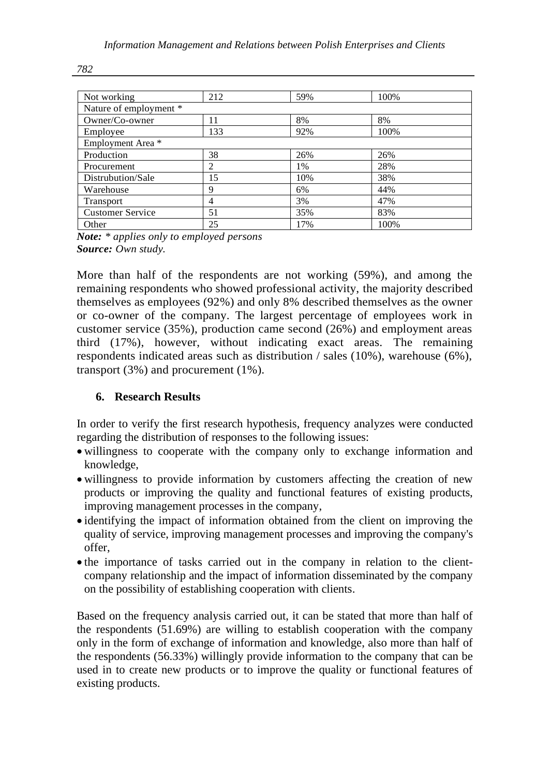| Not working             | 212 | 59% | 100% |  |  |  |  |
|-------------------------|-----|-----|------|--|--|--|--|
| Nature of employment *  |     |     |      |  |  |  |  |
| Owner/Co-owner          | 11  | 8%  | 8%   |  |  |  |  |
| Employee                | 133 | 92% | 100% |  |  |  |  |
| Employment Area *       |     |     |      |  |  |  |  |
| Production              | 38  | 26% | 26%  |  |  |  |  |
| Procurement             | 2   | 1%  | 28%  |  |  |  |  |
| Distrubution/Sale       | 15  | 10% | 38%  |  |  |  |  |
| Warehouse               | 9   | 6%  | 44%  |  |  |  |  |
| <b>Transport</b>        | 4   | 3%  | 47%  |  |  |  |  |
| <b>Customer Service</b> | 51  | 35% | 83%  |  |  |  |  |
| Other                   | 25  | 17% | 100% |  |  |  |  |

*Note: \* applies only to employed persons Source: Own study.*

More than half of the respondents are not working (59%), and among the remaining respondents who showed professional activity, the majority described themselves as employees (92%) and only 8% described themselves as the owner or co-owner of the company. The largest percentage of employees work in customer service (35%), production came second (26%) and employment areas third (17%), however, without indicating exact areas. The remaining respondents indicated areas such as distribution / sales (10%), warehouse (6%), transport (3%) and procurement (1%).

# **6. Research Results**

In order to verify the first research hypothesis, frequency analyzes were conducted regarding the distribution of responses to the following issues:

- willingness to cooperate with the company only to exchange information and knowledge,
- willingness to provide information by customers affecting the creation of new products or improving the quality and functional features of existing products, improving management processes in the company,
- identifying the impact of information obtained from the client on improving the quality of service, improving management processes and improving the company's offer,
- the importance of tasks carried out in the company in relation to the clientcompany relationship and the impact of information disseminated by the company on the possibility of establishing cooperation with clients.

Based on the frequency analysis carried out, it can be stated that more than half of the respondents (51.69%) are willing to establish cooperation with the company only in the form of exchange of information and knowledge, also more than half of the respondents (56.33%) willingly provide information to the company that can be used in to create new products or to improve the quality or functional features of existing products.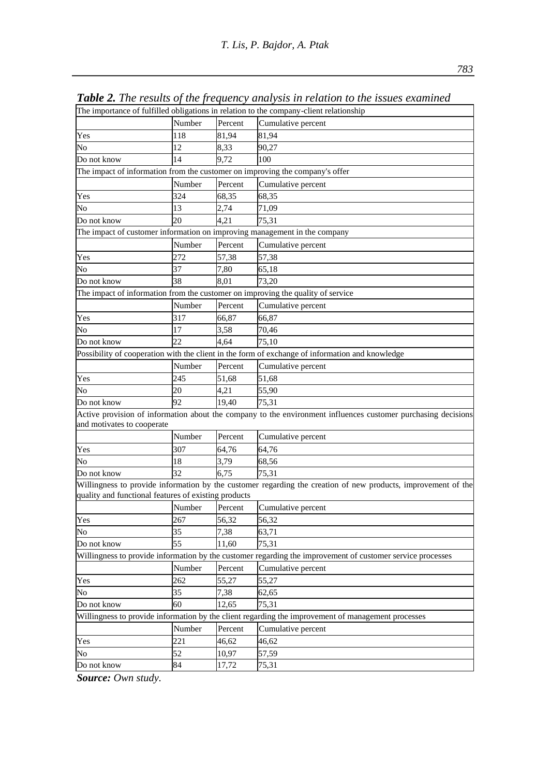|                                                      |        |         | The importance of fulfilled obligations in relation to the company-client relationship                        |  |  |  |
|------------------------------------------------------|--------|---------|---------------------------------------------------------------------------------------------------------------|--|--|--|
|                                                      | Number | Percent | Cumulative percent                                                                                            |  |  |  |
| Yes                                                  | 118    | 81,94   | 81,94                                                                                                         |  |  |  |
| No                                                   | 12     | 8,33    | 90,27                                                                                                         |  |  |  |
| Do not know                                          | 14     | 9.72    | 100                                                                                                           |  |  |  |
|                                                      |        |         | The impact of information from the customer on improving the company's offer                                  |  |  |  |
|                                                      | Number | Percent | Cumulative percent                                                                                            |  |  |  |
| Yes                                                  | 324    | 68,35   | 68,35                                                                                                         |  |  |  |
| No                                                   | 13     | 2,74    | 71,09                                                                                                         |  |  |  |
| Do not know                                          | 20     | 4,21    | 75,31                                                                                                         |  |  |  |
|                                                      |        |         | The impact of customer information on improving management in the company                                     |  |  |  |
|                                                      | Number | Percent | Cumulative percent                                                                                            |  |  |  |
| Yes                                                  | 272    | 57,38   | 57,38                                                                                                         |  |  |  |
| No                                                   | 37     | 7.80    | 65,18                                                                                                         |  |  |  |
| Do not know                                          | 38     | 8.01    | 73,20                                                                                                         |  |  |  |
|                                                      |        |         | The impact of information from the customer on improving the quality of service                               |  |  |  |
|                                                      | Number | Percent | Cumulative percent                                                                                            |  |  |  |
| Yes                                                  | 317    | 66,87   | 66.87                                                                                                         |  |  |  |
| No                                                   | 17     | 3,58    | 70,46                                                                                                         |  |  |  |
| Do not know                                          | 22     | 4,64    | 75,10                                                                                                         |  |  |  |
|                                                      |        |         | Possibility of cooperation with the client in the form of exchange of information and knowledge               |  |  |  |
|                                                      | Number | Percent | Cumulative percent                                                                                            |  |  |  |
| Yes                                                  | 245    | 51,68   | 51,68                                                                                                         |  |  |  |
| No                                                   | 20     | 4,21    | 55,90                                                                                                         |  |  |  |
| Do not know                                          | 92     | 19,40   | 75,31                                                                                                         |  |  |  |
| and motivates to cooperate                           |        |         | Active provision of information about the company to the environment influences customer purchasing decisions |  |  |  |
|                                                      | Number | Percent | Cumulative percent                                                                                            |  |  |  |
| Yes                                                  | 307    | 64,76   | 64,76                                                                                                         |  |  |  |
| No                                                   | 18     | 3,79    | 68,56                                                                                                         |  |  |  |
| Do not know                                          | 32     | 6,75    | 75,31                                                                                                         |  |  |  |
|                                                      |        |         | Willingness to provide information by the customer regarding the creation of new products, improvement of the |  |  |  |
| quality and functional features of existing products |        |         |                                                                                                               |  |  |  |
|                                                      | Number | Percent | Cumulative percent                                                                                            |  |  |  |
| Yes                                                  | 267    | 56,32   | 56,32                                                                                                         |  |  |  |
| No                                                   | 35     | 7,38    | 63,71                                                                                                         |  |  |  |
| Do not know                                          | 55     | 11,60   | 75.31                                                                                                         |  |  |  |
|                                                      |        |         | Willingness to provide information by the customer regarding the improvement of customer service processes    |  |  |  |
|                                                      | Number | Percent | Cumulative percent                                                                                            |  |  |  |
| Yes                                                  | 262    | 55,27   | 55,27                                                                                                         |  |  |  |
| No                                                   | 35     | 7,38    | 62,65                                                                                                         |  |  |  |
| Do not know                                          | 60     | 12,65   | 75,31                                                                                                         |  |  |  |
|                                                      |        |         | Willingness to provide information by the client regarding the improvement of management processes            |  |  |  |
|                                                      | Number | Percent | Cumulative percent                                                                                            |  |  |  |
| Yes                                                  | 221    | 46,62   | 46,62                                                                                                         |  |  |  |
| No                                                   | 52     | 10,97   | 57,59                                                                                                         |  |  |  |
| Do not know                                          | 84     | 17,72   | 75,31                                                                                                         |  |  |  |

*Table 2. The results of the frequency analysis in relation to the issues examined*

*Source: Own study.*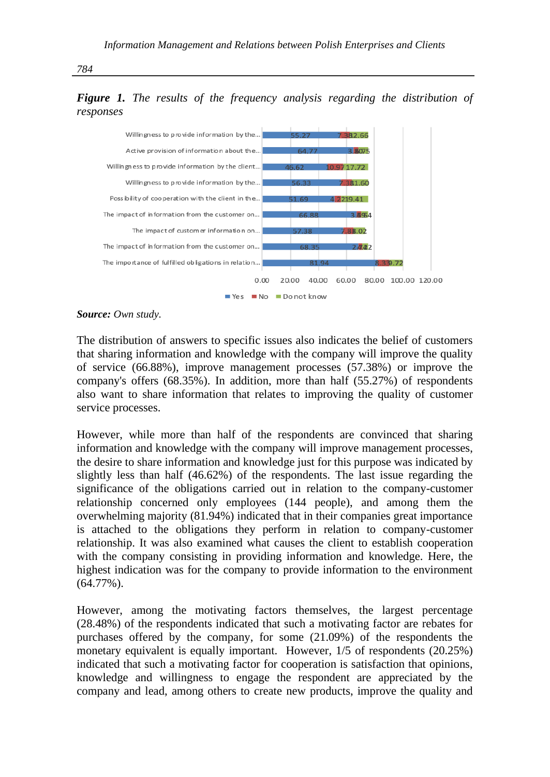



*Source: Own study.*

The distribution of answers to specific issues also indicates the belief of customers that sharing information and knowledge with the company will improve the quality of service (66.88%), improve management processes (57.38%) or improve the company's offers (68.35%). In addition, more than half (55.27%) of respondents also want to share information that relates to improving the quality of customer service processes.

However, while more than half of the respondents are convinced that sharing information and knowledge with the company will improve management processes, the desire to share information and knowledge just for this purpose was indicated by slightly less than half (46.62%) of the respondents. The last issue regarding the significance of the obligations carried out in relation to the company-customer relationship concerned only employees (144 people), and among them the overwhelming majority (81.94%) indicated that in their companies great importance is attached to the obligations they perform in relation to company-customer relationship. It was also examined what causes the client to establish cooperation with the company consisting in providing information and knowledge. Here, the highest indication was for the company to provide information to the environment (64.77%).

However, among the motivating factors themselves, the largest percentage (28.48%) of the respondents indicated that such a motivating factor are rebates for purchases offered by the company, for some (21.09%) of the respondents the monetary equivalent is equally important. However, 1/5 of respondents (20.25%) indicated that such a motivating factor for cooperation is satisfaction that opinions, knowledge and willingness to engage the respondent are appreciated by the company and lead, among others to create new products, improve the quality and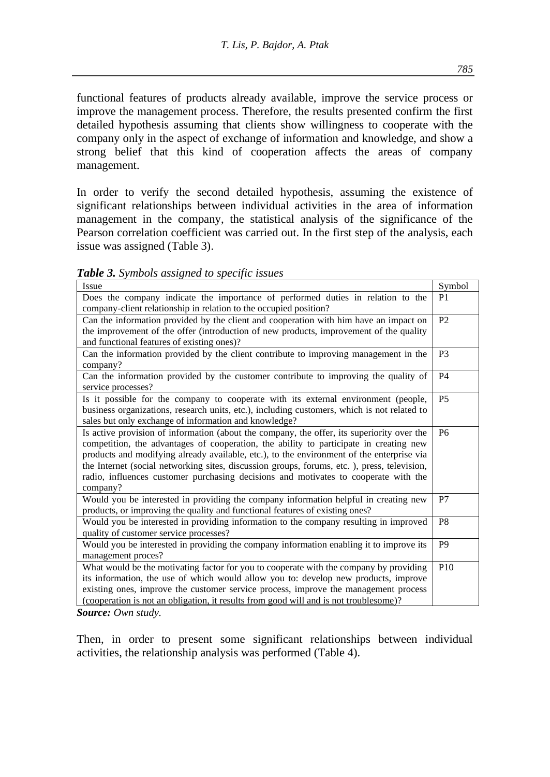functional features of products already available, improve the service process or improve the management process. Therefore, the results presented confirm the first detailed hypothesis assuming that clients show willingness to cooperate with the company only in the aspect of exchange of information and knowledge, and show a strong belief that this kind of cooperation affects the areas of company management.

In order to verify the second detailed hypothesis, assuming the existence of significant relationships between individual activities in the area of information management in the company, the statistical analysis of the significance of the Pearson correlation coefficient was carried out. In the first step of the analysis, each issue was assigned (Table 3).

| <b>able 5.</b> Symbols assigned to specific issues                                                                                                                                                                                                                                                                                                                                                                                                                                  |                |
|-------------------------------------------------------------------------------------------------------------------------------------------------------------------------------------------------------------------------------------------------------------------------------------------------------------------------------------------------------------------------------------------------------------------------------------------------------------------------------------|----------------|
| Issue                                                                                                                                                                                                                                                                                                                                                                                                                                                                               | Symbol         |
| Does the company indicate the importance of performed duties in relation to the<br>company-client relationship in relation to the occupied position?                                                                                                                                                                                                                                                                                                                                | P1             |
| Can the information provided by the client and cooperation with him have an impact on<br>the improvement of the offer (introduction of new products, improvement of the quality<br>and functional features of existing ones)?                                                                                                                                                                                                                                                       | P <sub>2</sub> |
| Can the information provided by the client contribute to improving management in the<br>company?                                                                                                                                                                                                                                                                                                                                                                                    | P <sub>3</sub> |
| Can the information provided by the customer contribute to improving the quality of<br>service processes?                                                                                                                                                                                                                                                                                                                                                                           | P <sub>4</sub> |
| Is it possible for the company to cooperate with its external environment (people,<br>business organizations, research units, etc.), including customers, which is not related to<br>sales but only exchange of information and knowledge?                                                                                                                                                                                                                                          | P <sub>5</sub> |
| Is active provision of information (about the company, the offer, its superiority over the<br>competition, the advantages of cooperation, the ability to participate in creating new<br>products and modifying already available, etc.), to the environment of the enterprise via<br>the Internet (social networking sites, discussion groups, forums, etc.), press, television,<br>radio, influences customer purchasing decisions and motivates to cooperate with the<br>company? | P6             |
| Would you be interested in providing the company information helpful in creating new<br>products, or improving the quality and functional features of existing ones?                                                                                                                                                                                                                                                                                                                | P7             |
| Would you be interested in providing information to the company resulting in improved<br>quality of customer service processes?                                                                                                                                                                                                                                                                                                                                                     | P8             |

Would you be interested in providing the company information enabling it to improve its

What would be the motivating factor for you to cooperate with the company by providing its information, the use of which would allow you to: develop new products, improve existing ones, improve the customer service process, improve the management process (cooperation is not an obligation, it results from good will and is not troublesome)?

*Table 3. Symbols assigned to specific issues*

*Source: Own study.* 

management proces?

Then, in order to present some significant relationships between individual activities, the relationship analysis was performed (Table 4).

P9

P<sub>10</sub>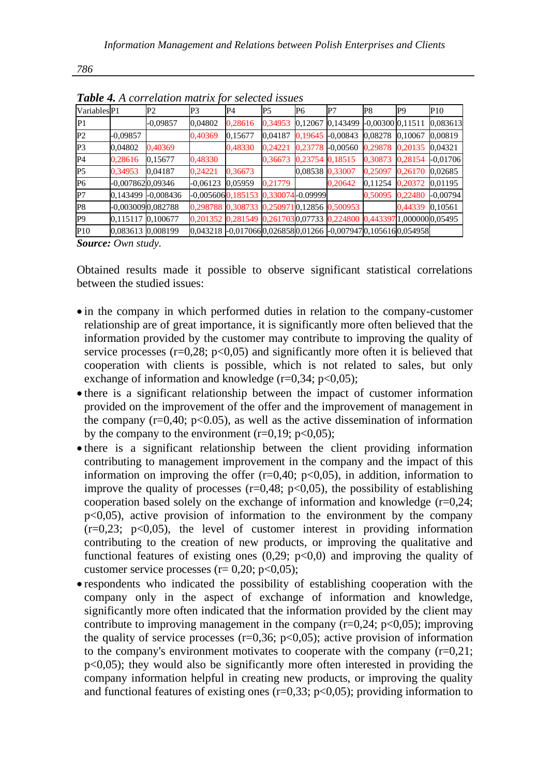| Variables <sup>P1</sup> |                   | P2                 | P3                  | P4                                                                   | P5               | P6              | P7         | P8                            | P <sub>9</sub> | P10        |
|-------------------------|-------------------|--------------------|---------------------|----------------------------------------------------------------------|------------------|-----------------|------------|-------------------------------|----------------|------------|
| IP1                     |                   | $-0.09857$         | 0,04802             | 0,28616                                                              | 0.34953          | 0.12067         | 0,143499   | $-0,00300$ <sub>0.11511</sub> |                | 0,083613   |
| P2                      | $-0.09857$        |                    | 0,40369             | 0,15677                                                              | 0,04187          | 0.19645         | $-0,00843$ | 0,08278                       | 0.10067        | 0,00819    |
| P3                      | 0,04802           | 0,40369            |                     | 0,48330                                                              | 0,24221          | 0.23778         | $-0,00560$ | 0.29878                       | 0.20135        | 0.04321    |
| P4                      | 0,28616           | 0,15677            | 0,48330             |                                                                      | 0.36673          | 0.23754         | 0,18515    | 0,30873                       | 0,28154        | $-0.01706$ |
| P <sub>5</sub>          | 0,34953           | 0.04187            | 0,24221             | 0,36673                                                              |                  | 0,08538 0,33007 |            | 0.25097                       | 0.26170        | 0,02685    |
| P <sub>6</sub>          | -0,0078620,09346  |                    | $-0.06123$          | 0.05959                                                              | 0.21779          |                 | 0,20642    | 0.11254                       | 0,20372        | 0,01195    |
| P <sub>7</sub>          |                   | 0,143499 -0,008436 | $-0.00560600185153$ |                                                                      | 0,330074-0.09999 |                 |            | 0.50095                       | 0,22480        | $-0,00794$ |
| P8                      | -0,0030090,082788 |                    |                     | 0,298788 0,308733 0,2509710,12856 0,500953                           |                  |                 |            |                               | 0.44339        | 0,10561    |
| IP <sub>9</sub>         | 0,115117 0,100677 |                    |                     | 0,201352 0,281549 0,2617030,07733 0,224800 0,443397 1,000000 0,05495 |                  |                 |            |                               |                |            |
| P <sub>10</sub>         | 0,083613 0,008199 |                    |                     | 0.043218 -0.0170660.0268580.01266 -0.0079470.1056160.054958          |                  |                 |            |                               |                |            |

*Table 4. A correlation matrix for selected issues*

*Source: Own study.*

Obtained results made it possible to observe significant statistical correlations between the studied issues:

- in the company in which performed duties in relation to the company-customer relationship are of great importance, it is significantly more often believed that the information provided by the customer may contribute to improving the quality of service processes  $(r=0.28; p<0.05)$  and significantly more often it is believed that cooperation with clients is possible, which is not related to sales, but only exchange of information and knowledge ( $r=0,34$ ;  $p<0,05$ );
- there is a significant relationship between the impact of customer information provided on the improvement of the offer and the improvement of management in the company  $(r=0.40; p<0.05)$ , as well as the active dissemination of information by the company to the environment  $(r=0,19; p<0,05);$
- there is a significant relationship between the client providing information contributing to management improvement in the company and the impact of this information on improving the offer  $(r=0,40; p<0,05)$ , in addition, information to improve the quality of processes ( $r=0.48$ ;  $p<0.05$ ), the possibility of establishing cooperation based solely on the exchange of information and knowledge (r=0,24;  $p<0,05$ , active provision of information to the environment by the company  $(r=0.23; p<0.05)$ , the level of customer interest in providing information contributing to the creation of new products, or improving the qualitative and functional features of existing ones  $(0,29; p<0,0)$  and improving the quality of customer service processes ( $r= 0.20$ ;  $p<0.05$ );
- respondents who indicated the possibility of establishing cooperation with the company only in the aspect of exchange of information and knowledge, significantly more often indicated that the information provided by the client may contribute to improving management in the company  $(r=0.24; p<0.05)$ ; improving the quality of service processes  $(r=0.36; p<0.05)$ ; active provision of information to the company's environment motivates to cooperate with the company  $(r=0,21;$ p<0,05); they would also be significantly more often interested in providing the company information helpful in creating new products, or improving the quality and functional features of existing ones  $(r=0.33; p<0.05)$ ; providing information to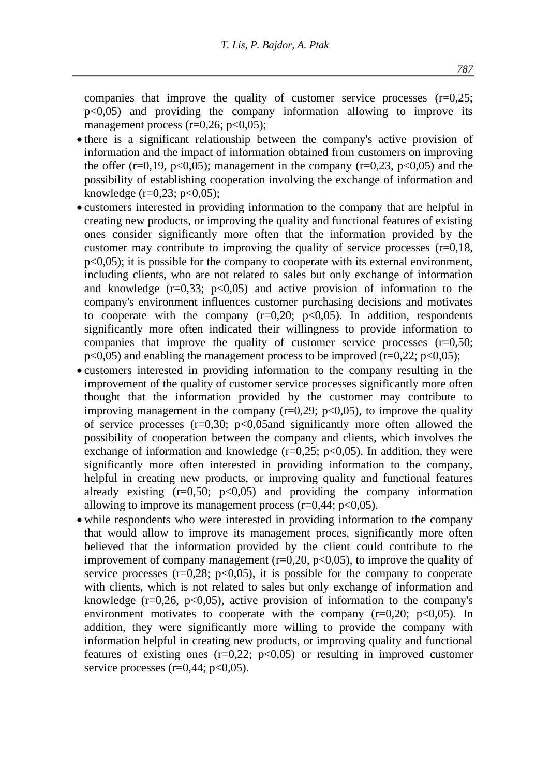companies that improve the quality of customer service processes  $(r=0.25)$ ;  $p<0.05$ ) and providing the company information allowing to improve its management process ( $r=0.26$ ;  $p<0.05$ );

- there is a significant relationship between the company's active provision of information and the impact of information obtained from customers on improving the offer  $(r=0.19, p<0.05)$ ; management in the company  $(r=0.23, p<0.05)$  and the possibility of establishing cooperation involving the exchange of information and knowledge  $(r=0.23; p<0.05)$ ;
- customers interested in providing information to the company that are helpful in creating new products, or improving the quality and functional features of existing ones consider significantly more often that the information provided by the customer may contribute to improving the quality of service processes  $(r=0.18,$  $p\leq 0.05$ ); it is possible for the company to cooperate with its external environment, including clients, who are not related to sales but only exchange of information and knowledge  $(r=0.33; p<0.05)$  and active provision of information to the company's environment influences customer purchasing decisions and motivates to cooperate with the company  $(r=0,20; p<0,05)$ . In addition, respondents significantly more often indicated their willingness to provide information to companies that improve the quality of customer service processes  $(r=0.50;$  $p<0.05$ ) and enabling the management process to be improved (r=0,22; p<0,05);
- customers interested in providing information to the company resulting in the improvement of the quality of customer service processes significantly more often thought that the information provided by the customer may contribute to improving management in the company  $(r=0.29; p<0.05)$ , to improve the quality of service processes  $(r=0,30; p<0,05$  and significantly more often allowed the possibility of cooperation between the company and clients, which involves the exchange of information and knowledge  $(r=0.25; p<0.05)$ . In addition, they were significantly more often interested in providing information to the company, helpful in creating new products, or improving quality and functional features already existing  $(r=0.50; p<0.05)$  and providing the company information allowing to improve its management process  $(r=0.44; p<0.05)$ .
- while respondents who were interested in providing information to the company that would allow to improve its management proces, significantly more often believed that the information provided by the client could contribute to the improvement of company management  $(r=0.20, p<0.05)$ , to improve the quality of service processes ( $r=0,28$ ;  $p<0,05$ ), it is possible for the company to cooperate with clients, which is not related to sales but only exchange of information and knowledge  $(r=0.26, p<0.05)$ , active provision of information to the company's environment motivates to cooperate with the company  $(r=0.20; p<0.05)$ . In addition, they were significantly more willing to provide the company with information helpful in creating new products, or improving quality and functional features of existing ones  $(r=0.22; p<0.05)$  or resulting in improved customer service processes  $(r=0.44; p<0.05)$ .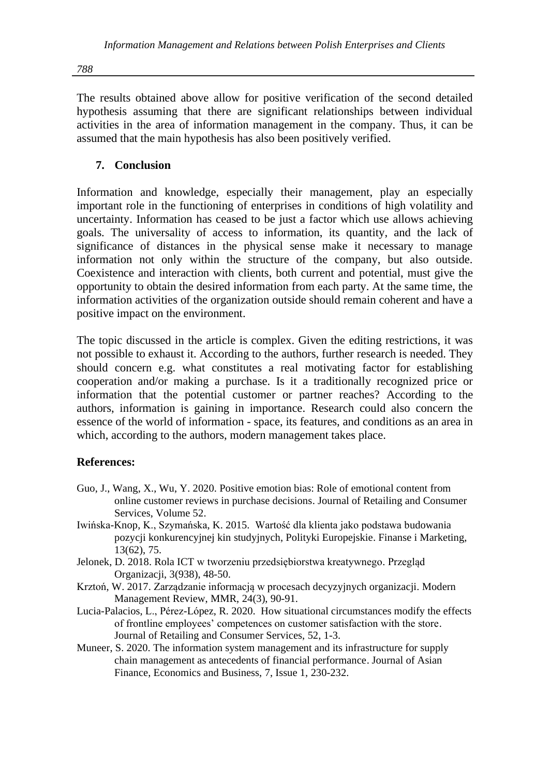The results obtained above allow for positive verification of the second detailed hypothesis assuming that there are significant relationships between individual activities in the area of information management in the company. Thus, it can be assumed that the main hypothesis has also been positively verified.

# **7. Conclusion**

Information and knowledge, especially their management, play an especially important role in the functioning of enterprises in conditions of high volatility and uncertainty. Information has ceased to be just a factor which use allows achieving goals. The universality of access to information, its quantity, and the lack of significance of distances in the physical sense make it necessary to manage information not only within the structure of the company, but also outside. Coexistence and interaction with clients, both current and potential, must give the opportunity to obtain the desired information from each party. At the same time, the information activities of the organization outside should remain coherent and have a positive impact on the environment.

The topic discussed in the article is complex. Given the editing restrictions, it was not possible to exhaust it. According to the authors, further research is needed. They should concern e.g. what constitutes a real motivating factor for establishing cooperation and/or making a purchase. Is it a traditionally recognized price or information that the potential customer or partner reaches? According to the authors, information is gaining in importance. Research could also concern the essence of the world of information - space, its features, and conditions as an area in which, according to the authors, modern management takes place.

#### **References:**

- Guo, J., Wang, X., Wu, Y. 2020. Positive emotion bias: Role of emotional content from online customer reviews in purchase decisions. Journal of Retailing and Consumer Services, Volume 52.
- Iwińska-Knop, K., Szymańska, K. 2015. Wartość dla klienta jako podstawa budowania pozycji konkurencyjnej kin studyjnych, Polityki Europejskie. Finanse i Marketing, 13(62), 75.
- Jelonek, D. 2018. Rola ICT w tworzeniu przedsiębiorstwa kreatywnego. Przegląd Organizacji, 3(938), 48-50.
- Krztoń, W. 2017. Zarządzanie informacją w procesach decyzyjnych organizacji. Modern Management Review, MMR, 24(3), 90-91.
- Lucia-Palacios, L., Pérez-López, R. 2020. How situational circumstances modify the effects of frontline employees' competences on customer satisfaction with the store. Journal of Retailing and Consumer Services, 52, 1-3.
- Muneer, S. 2020. The information system management and its infrastructure for supply chain management as antecedents of financial performance. Journal of Asian Finance, Economics and Business, 7, Issue 1, 230-232.